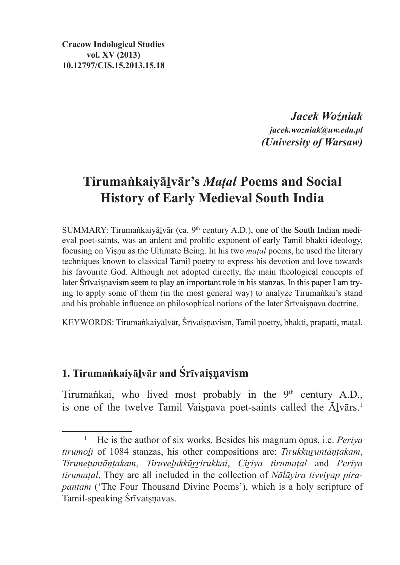**Cracow Indological Studies vol. XV (2013) 10.12797/CIS.15.2013.15.18**

> *Jacek Woźniak jacek.wozniak@uw.edu.pl (University of Warsaw)*

# **Tirumaṅkaiyāḻvār's** *Maṭal* **Poems and Social History of Early Medieval South India**

SUMMARY: Tirumaṅkaiyālvār (ca. 9<sup>th</sup> century A.D.), one of the South Indian medieval poet-saints, was an ardent and prolific exponent of early Tamil bhakti ideology, focusing on Viṣṇu as the Ultimate Being. In his two *maṭal* poems, he used the literary techniques known to classical Tamil poetry to express his devotion and love towards his favourite God. Although not adopted directly, the main theological concepts of later Śrīvaisnavism seem to play an important role in his stanzas. In this paper I am trying to apply some of them (in the most general way) to analyze Tirumaṅkai's stand and his probable influence on philosophical notions of the later Śrīvaiṣṇava doctrine.

KEYWORDS: Tirumaṅkaiyāḻvār, Śrīvaiṣṇavism, Tamil poetry, bhakti, prapatti, maṭal.

# **1. Tirumaṅkaiyāḻvār and Śrīvaiṣṇavism**

Tirumankai, who lived most probably in the 9<sup>th</sup> century A.D., is one of the twelve Tamil Vaisnava poet-saints called the Ālvārs.<sup>1</sup>

<sup>1</sup> He is the author of six works. Besides his magnum opus, i.e. *Periya tirumoḻi* of 1084 stanzas, his other compositions are: *Tirukkuṟuntāṇṭakam*, *Tiruneṭuntāṇṭakam*, *Tiruveḻukkūṟṟirukkai*, *Ciṟiya tirumaṭal* and *Periya tirumaṭal*. They are all included in the collection of *Nālāyira tivviyap pirapantam* ('The Four Thousand Divine Poems'), which is a holy scripture of Tamil-speaking Śrīvaisnavas.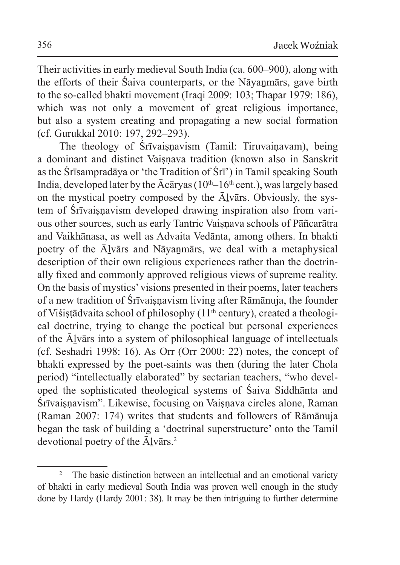Their activities in early medieval South India (ca. 600–900), along with the efforts of their Śaiva counterparts, or the Nāvanmārs, gave birth to the so-called bhakti movement (Iraqi 2009: 103; Thapar 1979: 186), which was not only a movement of great religious importance, but also a system creating and propagating a new social formation (cf. Gurukkal 2010: 197, 292–293).

The theology of Śrīvaisnavism (Tamil: Tiruvainavam), being a dominant and distinct Vaisnava tradition (known also in Sanskrit as the Śrīsampradāya or 'the Tradition of Śrī') in Tamil speaking South India, developed later by the  $\bar{A}c\bar{a}r\gamma$  (10<sup>th</sup>–16<sup>th</sup> cent.), was largely based on the mystical poetry composed by the Ālvārs. Obviously, the system of Śrīvaisnavism developed drawing inspiration also from various other sources, such as early Tantric Vaisnava schools of Pāñcarātra and Vaikhānasa, as well as Advaita Vedānta, among others. In bhakti poetry of the Ālvārs and Nāvanmārs, we deal with a metaphysical description of their own religious experiences rather than the doctrinally fixed and commonly approved religious views of supreme reality. On the basis of mystics' visions presented in their poems, later teachers of a new tradition of Śrīvaisnavism living after Rāmānuja, the founder of Viśistādvaita school of philosophy (11<sup>th</sup> century), created a theological doctrine, trying to change the poetical but personal experiences of the Āḻvārs into a system of philosophical language of intellectuals (cf. Seshadri 1998: 16). As Orr (Orr 2000: 22) notes, the concept of bhakti expressed by the poet-saints was then (during the later Chola period) "intellectually elaborated" by sectarian teachers, "who developed the sophisticated theological systems of Śaiva Siddhānta and Śrīvaiṣṇavism". Likewise, focusing on Vaiṣṇava circles alone, Raman (Raman 2007: 174) writes that students and followers of Rāmānuja began the task of building a 'doctrinal superstructure' onto the Tamil devotional poetry of the  $\bar{A}$ lvārs.<sup>2</sup>

<sup>2</sup> The basic distinction between an intellectual and an emotional variety of bhakti in early medieval South India was proven well enough in the study done by Hardy (Hardy 2001: 38). It may be then intriguing to further determine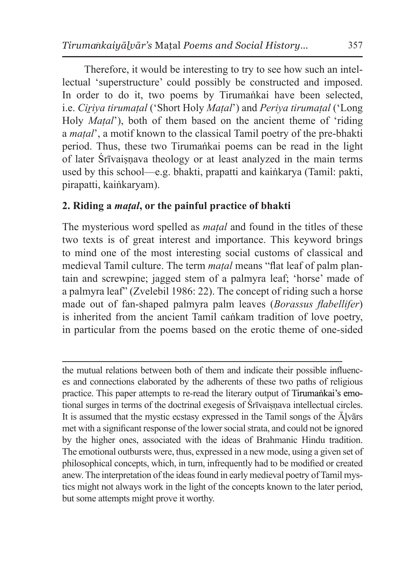Therefore, it would be interesting to try to see how such an intellectual 'superstructure' could possibly be constructed and imposed. In order to do it, two poems by Tirumankai have been selected, i.e. *Ciṟiya tirumaṭal* ('Short Holy *Maṭal*') and *Periya tirumaṭal* ('Long Holy *Matal*'), both of them based on the ancient theme of 'riding a *maṭal*', a motif known to the classical Tamil poetry of the pre-bhakti period. Thus, these two Tirumaṅkai poems can be read in the light of later Śrīvaisnava theology or at least analyzed in the main terms used by this school—e.g. bhakti, prapatti and kaiṅkarya (Tamil: pakti, pirapatti, kaiṅkaryam).

#### **2. Riding a** *maṭal***, or the painful practice of bhakti**

The mysterious word spelled as *maṭal* and found in the titles of these two texts is of great interest and importance. This keyword brings to mind one of the most interesting social customs of classical and medieval Tamil culture. The term *maṭal* means "flat leaf of palm plantain and screwpine; jagged stem of a palmyra leaf; 'horse' made of a palmyra leaf" (Zvelebil 1986: 22). The concept of riding such a horse made out of fan-shaped palmyra palm leaves (*Borassus flabellifer*) is inherited from the ancient Tamil caṅkam tradition of love poetry, in particular from the poems based on the erotic theme of one-sided

the mutual relations between both of them and indicate their possible influences and connections elaborated by the adherents of these two paths of religious practice. This paper attempts to re-read the literary output of Tirumaṅkai's emotional surges in terms of the doctrinal exegesis of Śrīvaiṣṇava intellectual circles. It is assumed that the mystic ecstasy expressed in the Tamil songs of the  $\bar{A}$ lvārs met with a significant response of the lower social strata, and could not be ignored by the higher ones, associated with the ideas of Brahmanic Hindu tradition. The emotional outbursts were, thus, expressed in a new mode, using a given set of philosophical concepts, which, in turn, infrequently had to be modified or created anew. The interpretation of the ideas found in early medieval poetry of Tamil mystics might not always work in the light of the concepts known to the later period, but some attempts might prove it worthy.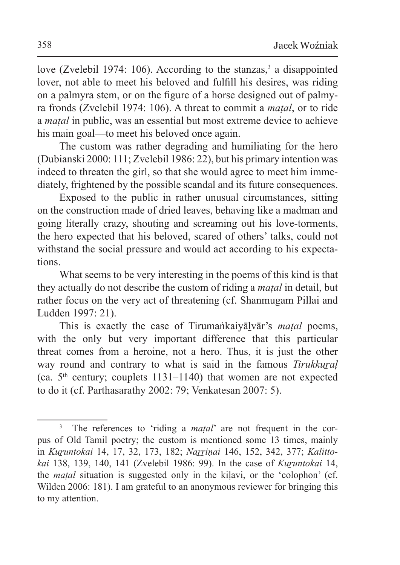love (Zvelebil 1974: 106). According to the stanzas,<sup>3</sup> a disappointed lover, not able to meet his beloved and fulfill his desires, was riding on a palmyra stem, or on the figure of a horse designed out of palmyra fronds (Zvelebil 1974: 106). A threat to commit a *maṭal*, or to ride a *maṭal* in public, was an essential but most extreme device to achieve his main goal—to meet his beloved once again.

The custom was rather degrading and humiliating for the hero (Dubianski 2000: 111; Zvelebil 1986: 22), but his primary intention was indeed to threaten the girl, so that she would agree to meet him immediately, frightened by the possible scandal and its future consequences.

Exposed to the public in rather unusual circumstances, sitting on the construction made of dried leaves, behaving like a madman and going literally crazy, shouting and screaming out his love-torments, the hero expected that his beloved, scared of others' talks, could not withstand the social pressure and would act according to his expectations.

What seems to be very interesting in the poems of this kind is that they actually do not describe the custom of riding a *maṭal* in detail, but rather focus on the very act of threatening (cf. Shanmugam Pillai and Ludden 1997: 21).

This is exactly the case of Tirumaṅkaiyāḻvār's *maṭal* poems, with the only but very important difference that this particular threat comes from a heroine, not a hero. Thus, it is just the other way round and contrary to what is said in the famous *Tirukkuṟaḷ* (ca.  $5<sup>th</sup>$  century; couplets 1131–1140) that women are not expected to do it (cf. Parthasarathy 2002: 79; Venkatesan 2007: 5).

<sup>&</sup>lt;sup>3</sup> The references to 'riding a *matal*' are not frequent in the corpus of Old Tamil poetry; the custom is mentioned some 13 times, mainly in *Kuṟuntokai* 14, 17, 32, 173, 182; *Naṟṟiṇai* 146, 152, 342, 377; *Kalittokai* 138, 139, 140, 141 (Zvelebil 1986: 99). In the case of *Kuṟuntokai* 14, the *maṭal* situation is suggested only in the kiḷavi, or the 'colophon' (cf. Wilden 2006: 181). I am grateful to an anonymous reviewer for bringing this to my attention.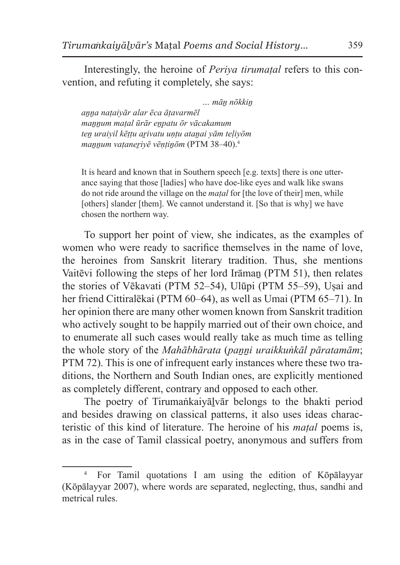Interestingly, the heroine of *Periya tirumaṭal* refers to this convention, and refuting it completely, she says:

 *… māṉ nōkkiṉ aṉṉa naṭaiyār alar ēca āṭavarmēl maṉṉum maṭal ūrār eṉpatu ōr vācakamum teṉ uraiyil kēṭṭu aṟivatu uṇṭu ataṉai yām teḷiyōm maṉṉum vaṭaneṟiyē vēṇṭiṉōm* (PTM 38–40).<sup>4</sup>

It is heard and known that in Southern speech [e.g. texts] there is one utterance saying that those [ladies] who have doe-like eyes and walk like swans do not ride around the village on the *maṭal* for [the love of their] men, while [others] slander [them]. We cannot understand it. [So that is why] we have chosen the northern way.

To support her point of view, she indicates, as the examples of women who were ready to sacrifice themselves in the name of love, the heroines from Sanskrit literary tradition. Thus, she mentions Vaitēvi following the steps of her lord Irāmaṉ (PTM 51), then relates the stories of Vēkavati (PTM 52–54), Ulūpi (PTM 55–59), Uṣai and her friend Cittiralēkai (PTM 60–64), as well as Umai (PTM 65–71). In her opinion there are many other women known from Sanskrit tradition who actively sought to be happily married out of their own choice, and to enumerate all such cases would really take as much time as telling the whole story of the *Mahābhārata* (*paṉṉi uraikkuṅkāl pāratamām*; PTM 72). This is one of infrequent early instances where these two traditions, the Northern and South Indian ones, are explicitly mentioned as completely different, contrary and opposed to each other.

The poetry of Tirumaṅkaiyālvār belongs to the bhakti period and besides drawing on classical patterns, it also uses ideas characteristic of this kind of literature. The heroine of his *maṭal* poems is, as in the case of Tamil classical poetry, anonymous and suffers from

<sup>4</sup> For Tamil quotations I am using the edition of Kōpālayyar (Kōpālayyar 2007), where words are separated, neglecting, thus, sandhi and metrical rules.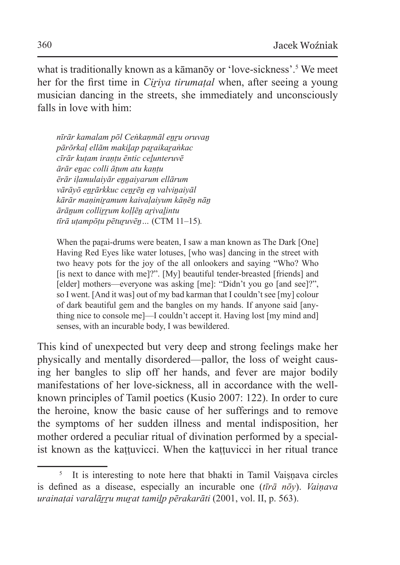what is traditionally known as a kāmanōy or 'love-sickness'.<sup>5</sup> We meet her for the first time in *Ciriva tirumatal* when, after seeing a young musician dancing in the streets, she immediately and unconsciously falls in love with him:

*nīrār kamalam pōl Ceṅkaṇmāl eṉṟu oruvaṉ pārōrkaḷ ellām makiḻap paṟaikaṟaṅkac cīrār kuṭam iraṇṭu ēntic ceḻunteruvē ārār eṉac colli āṭum atu kaṇṭu ērār iḷamulaiyār eṉṉaiyarum ellārum vārāyō eṉṟārkkuc ceṉṟēṉ eṉ valviṉaiyāl kārār maṇiniṟamum kaivaḷaiyum kāṇēṉ nāṉ ārāṉum colliṟṟum koḷḷēṉ aṟivaḻintu tīrā uṭampōṭu pētuṟuvēṉ…* (CTM 11–15)*.*

When the parai-drums were beaten, I saw a man known as The Dark [One] Having Red Eyes like water lotuses, [who was] dancing in the street with two heavy pots for the joy of the all onlookers and saying "Who? Who [is next to dance with me]?". [My] beautiful tender-breasted [friends] and [elder] mothers—everyone was asking [me]: "Didn't you go [and see]?", so I went. [And it was] out of my bad karman that I couldn't see [my] colour of dark beautiful gem and the bangles on my hands. If anyone said [anything nice to console me]—I couldn't accept it. Having lost [my mind and] senses, with an incurable body, I was bewildered.

This kind of unexpected but very deep and strong feelings make her physically and mentally disordered—pallor, the loss of weight causing her bangles to slip off her hands, and fever are major bodily manifestations of her love-sickness, all in accordance with the wellknown principles of Tamil poetics (Kusio 2007: 122). In order to cure the heroine, know the basic cause of her sufferings and to remove the symptoms of her sudden illness and mental indisposition, her mother ordered a peculiar ritual of divination performed by a specialist known as the kattuvicci. When the kattuvicci in her ritual trance

<sup>&</sup>lt;sup>5</sup> It is interesting to note here that bhakti in Tamil Vaișņava circles is defined as a disease, especially an incurable one (*tīrā nōy*). *Vaiṇava urainaṭai varalāṟṟu muṟat tamiḻp pērakarāti* (2001, vol. II, p. 563).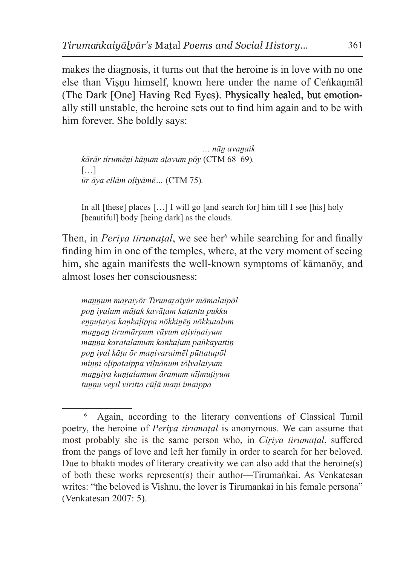makes the diagnosis, it turns out that the heroine is in love with no one else than Visnu himself, known here under the name of Cenkanmal (The Dark [One] Having Red Eyes). Physically healed, but emotionally still unstable, the heroine sets out to find him again and to be with him forever. She boldly says:

*… nāṉ avaṉaik kārār tirumēṉi kāṇum aḷavum pōy* (CTM 68–69)*.* […] *ūr āya ellām oḻiyāmē…* (CTM 75)*.*

In all [these] places […] I will go [and search for] him till I see [his] holy [beautiful] body [being dark] as the clouds.

Then, in *Periya tirumaṭal*, we see her<sup>6</sup> while searching for and finally finding him in one of the temples, where, at the very moment of seeing him, she again manifests the well-known symptoms of kāmanōy, and almost loses her consciousness:

*maṉṉum maṟaiyōr Tirunaṟaiyūr māmalaipōl poṉ iyalum māṭak kavāṭam kaṭantu pukku eṉṉuṭaiya kaṇkaḷippa nōkkiṉēṉ nōkkutalum maṉṉaṉ tirumārpum vāyum aṭiyiṇaiyum maṉṉu karatalamum kaṇkaḷum paṅkayattiṉ poṉ iyal kāṭu ōr maṇivaraimēl pūttatupōl miṉṉi oḷipaṭaippa vīḻnāṇum tōḷvaḷaiyum maṉṉiya kuṇṭalamum āramum nīḷmuṭiyum tuṉṉu veyil viritta cūḷā maṇi imaippa*

<sup>6</sup> Again, according to the literary conventions of Classical Tamil poetry, the heroine of *Periya tirumaṭal* is anonymous. We can assume that most probably she is the same person who, in *Ciriya tirumatal*, suffered from the pangs of love and left her family in order to search for her beloved. Due to bhakti modes of literary creativity we can also add that the heroine(s) of both these works represent(s) their author—Tirumaṅkai. As Venkatesan writes: "the beloved is Vishnu, the lover is Tirumankai in his female persona" (Venkatesan 2007: 5).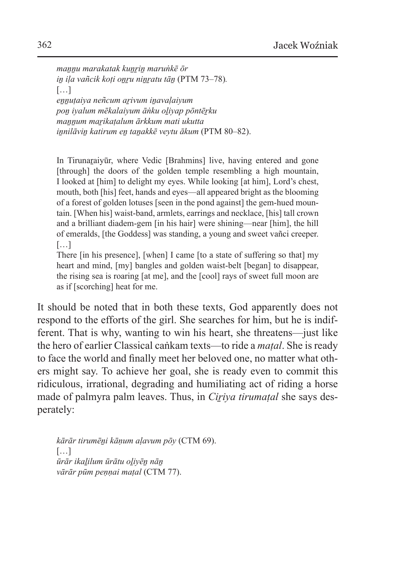*maṉṉu marakatak kuṉṟiṉ maruṅkē ōr iṉ iḷa vañcik koṭi oṉṟu niṉṟatu tāṉ* (PTM 73–78)*.* […] *eṉṉuṭaiya neñcum aṟivum iṉavaḷaiyum poṉ iyalum mēkalaiyum āṅku oḻiyap pōntēṟku maṉṉum maṟikaṭalum ārkkum mati ukutta iṉnilāviṉ katirum eṉ taṉakkē veytu ākum* (PTM 80–82).

In Tirunaraivūr, where Vedic [Brahmins] live, having entered and gone [through] the doors of the golden temple resembling a high mountain, I looked at [him] to delight my eyes. While looking [at him], Lord's chest, mouth, both [his] feet, hands and eyes—all appeared bright as the blooming of a forest of golden lotuses [seen in the pond against] the gem-hued mountain. [When his] waist-band, armlets, earrings and necklace, [his] tall crown and a brilliant diadem-gem [in his hair] were shining—near [him], the hill of emeralds, [the Goddess] was standing, a young and sweet vañci creeper.  $[...]$ 

There [in his presence], [when] I came [to a state of suffering so that] my heart and mind, [my] bangles and golden waist-belt [began] to disappear, the rising sea is roaring [at me], and the [cool] rays of sweet full moon are as if [scorching] heat for me.

It should be noted that in both these texts, God apparently does not respond to the efforts of the girl. She searches for him, but he is indifferent. That is why, wanting to win his heart, she threatens—just like the hero of earlier Classical caṅkam texts—to ride a *maṭal*. She is ready to face the world and finally meet her beloved one, no matter what others might say. To achieve her goal, she is ready even to commit this ridiculous, irrational, degrading and humiliating act of riding a horse made of palmyra palm leaves. Thus, in *Ciriya tirumatal* she says desperately:

*kārār tirumēṉi kāṇum aḷavum pōy* (CTM 69).  $[\ldots]$ *ūrār ikaḻilum ūrātu oḻiyēṉ nāṉ vārār pūm peṇṇai maṭal* (CTM 77).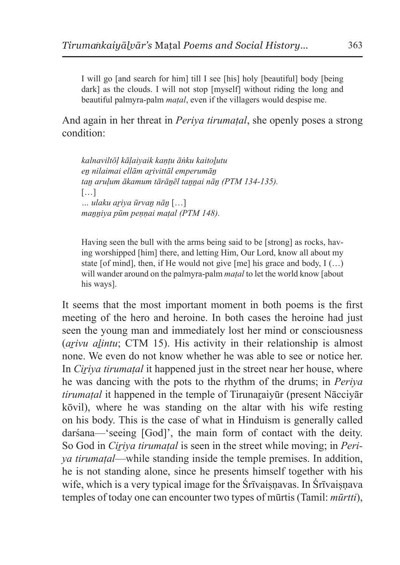I will go [and search for him] till I see [his] holy [beautiful] body [being dark] as the clouds. I will not stop [myself] without riding the long and beautiful palmyra-palm *maṭal*, even if the villagers would despise me.

And again in her threat in *Periva tirumatal*, she openly poses a strong condition:

*kalnaviltōḷ kāḷaiyaik kaṇṭu āṅku kaitoḻutu eṉ nilaimai ellām aṟivittāl emperumāṉ taṉ aruḷum ākamum tārāṉēl taṉṉai nāṉ (PTM 134-135).* […] *… ulaku aṟiya ūrvaṉ nāṉ* […] *maṉṉiya pūm peṇṇai maṭal (PTM 148).*

Having seen the bull with the arms being said to be [strong] as rocks, having worshipped [him] there, and letting Him, Our Lord, know all about my state [of mind], then, if He would not give  $[me]$  his grace and body,  $I(...)$ will wander around on the palmyra-palm *maṭal* to let the world know [about his ways].

It seems that the most important moment in both poems is the first meeting of the hero and heroine. In both cases the heroine had just seen the young man and immediately lost her mind or consciousness (*arivu alintu*; CTM 15). His activity in their relationship is almost none. We even do not know whether he was able to see or notice her. In *Ciṟiya tirumaṭal* it happened just in the street near her house, where he was dancing with the pots to the rhythm of the drums; in *Periya tirumatal* it happened in the temple of Tirunaraiyūr (present Nācciyār kōvil), where he was standing on the altar with his wife resting on his body. This is the case of what in Hinduism is generally called darśana—'seeing [God]', the main form of contact with the deity. So God in *Ciriva tirumatal* is seen in the street while moving; in *Periya tirumaṭal*—while standing inside the temple premises. In addition, he is not standing alone, since he presents himself together with his wife, which is a very typical image for the Śrīvaisnavas. In Śrīvaisnava temples of today one can encounter two types of mūrtis (Tamil: *mūrtti*),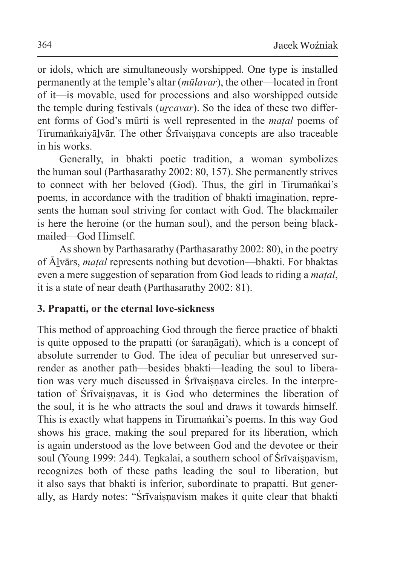or idols, which are simultaneously worshipped. One type is installed permanently at the temple's altar (*mūlavar*), the other—located in front of it—is movable, used for processions and also worshipped outside the temple during festivals *(urcavar)*. So the idea of these two different forms of God's mūrti is well represented in the *maṭal* poems of Tirumaṅkaiyālvār. The other Śrīvaisnava concepts are also traceable in his works.

Generally, in bhakti poetic tradition, a woman symbolizes the human soul (Parthasarathy 2002: 80, 157). She permanently strives to connect with her beloved (God). Thus, the girl in Tirumaṅkai's poems, in accordance with the tradition of bhakti imagination, represents the human soul striving for contact with God. The blackmailer is here the heroine (or the human soul), and the person being blackmailed—God Himself.

As shown by Parthasarathy (Parthasarathy 2002: 80), in the poetry of Āḻvārs, *maṭal* represents nothing but devotion—bhakti. For bhaktas even a mere suggestion of separation from God leads to riding a *maṭal*, it is a state of near death (Parthasarathy 2002: 81).

# **3. Prapatti, or the eternal love-sickness**

This method of approaching God through the fierce practice of bhakti is quite opposed to the prapatti (or śaraṇāgati), which is a concept of absolute surrender to God. The idea of peculiar but unreserved surrender as another path—besides bhakti—leading the soul to liberation was very much discussed in Śrīvaisnava circles. In the interpretation of Srīvaisnavas, it is God who determines the liberation of the soul, it is he who attracts the soul and draws it towards himself. This is exactly what happens in Tirumaṅkai's poems. In this way God shows his grace, making the soul prepared for its liberation, which is again understood as the love between God and the devotee or their soul (Young 1999: 244). Tenkalai, a southern school of Śrīvaisnavism, recognizes both of these paths leading the soul to liberation, but it also says that bhakti is inferior, subordinate to prapatti. But generally, as Hardy notes: "Śrīvaisnavism makes it quite clear that bhakti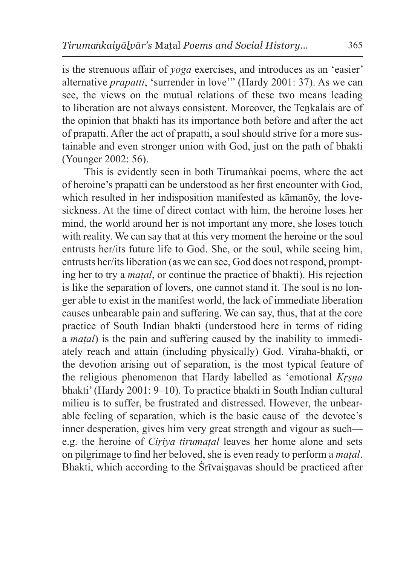is the strenuous affair of *yoga* exercises, and introduces as an 'easier' alternative *prapatti*, 'surrender in love'" (Hardy 2001: 37). As we can see, the views on the mutual relations of these two means leading to liberation are not always consistent. Moreover, the Tenkalais are of the opinion that bhakti has its importance both before and after the act of prapatti. After the act of prapatti, a soul should strive for a more sustainable and even stronger union with God, just on the path of bhakti (Younger 2002: 56).

This is evidently seen in both Tirumaṅkai poems, where the act of heroine's prapatti can be understood as her first encounter with God, which resulted in her indisposition manifested as kāmanōy, the lovesickness. At the time of direct contact with him, the heroine loses her mind, the world around her is not important any more, she loses touch with reality. We can say that at this very moment the heroine or the soul entrusts her/its future life to God. She, or the soul, while seeing him, entrusts her/its liberation (as we can see, God does not respond, prompting her to try a *maṭal*, or continue the practice of bhakti). His rejection is like the separation of lovers, one cannot stand it. The soul is no longer able to exist in the manifest world, the lack of immediate liberation causes unbearable pain and suffering. We can say, thus, that at the core practice of South Indian bhakti (understood here in terms of riding a *maṭal*) is the pain and suffering caused by the inability to immediately reach and attain (including physically) God. Viraha-bhakti, or the devotion arising out of separation, is the most typical feature of the religious phenomenon that Hardy labelled as 'emotional *Kṛṣṇa*  bhakti' (Hardy 2001: 9–10). To practice bhakti in South Indian cultural milieu is to suffer, be frustrated and distressed. However, the unbearable feeling of separation, which is the basic cause of the devotee's inner desperation, gives him very great strength and vigour as such e.g. the heroine of *Ciriva tirumatal* leaves her home alone and sets on pilgrimage to find her beloved, she is even ready to perform a *maṭal*. Bhakti, which according to the Śrīvaiṣṇavas should be practiced after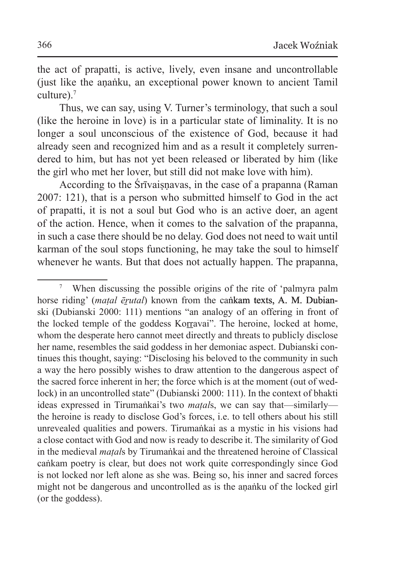the act of prapatti, is active, lively, even insane and uncontrollable (just like the aṇaṅku, an exceptional power known to ancient Tamil culture).<sup>7</sup>

Thus, we can say, using V. Turner's terminology, that such a soul (like the heroine in love) is in a particular state of liminality. It is no longer a soul unconscious of the existence of God, because it had already seen and recognized him and as a result it completely surrendered to him, but has not yet been released or liberated by him (like the girl who met her lover, but still did not make love with him).

According to the Śrīvaisnavas, in the case of a prapanna (Raman 2007: 121), that is a person who submitted himself to God in the act of prapatti, it is not a soul but God who is an active doer, an agent of the action. Hence, when it comes to the salvation of the prapanna, in such a case there should be no delay. God does not need to wait until karman of the soul stops functioning, he may take the soul to himself whenever he wants. But that does not actually happen. The prapanna,

<sup>7</sup> When discussing the possible origins of the rite of 'palmyra palm horse riding' (*matal ērutal*) known from the cankam texts, A. M. Dubianski (Dubianski 2000: 111) mentions "an analogy of an offering in front of the locked temple of the goddess Korravai". The heroine, locked at home, whom the desperate hero cannot meet directly and threats to publicly disclose her name, resembles the said goddess in her demoniac aspect. Dubianski continues this thought, saying: "Disclosing his beloved to the community in such a way the hero possibly wishes to draw attention to the dangerous aspect of the sacred force inherent in her; the force which is at the moment (out of wedlock) in an uncontrolled state" (Dubianski 2000: 111). In the context of bhakti ideas expressed in Tirumaṅkai's two *maṭal*s, we can say that—similarly the heroine is ready to disclose God's forces, i.e. to tell others about his still unrevealed qualities and powers. Tirumaṅkai as a mystic in his visions had a close contact with God and now is ready to describe it. The similarity of God in the medieval *maṭal*s by Tirumaṅkai and the threatened heroine of Classical caṅkam poetry is clear, but does not work quite correspondingly since God is not locked nor left alone as she was. Being so, his inner and sacred forces might not be dangerous and uncontrolled as is the ananku of the locked girl (or the goddess).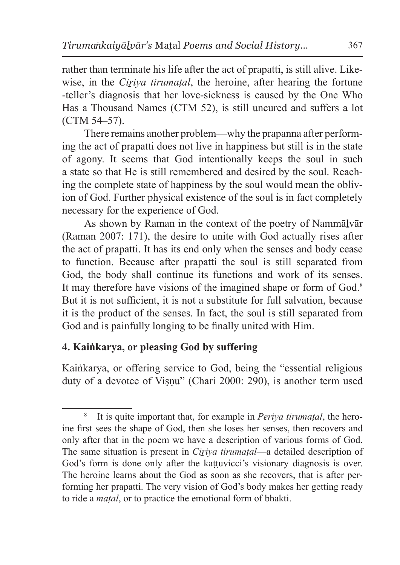rather than terminate his life after the act of prapatti, is still alive. Likewise, in the *Ciriya tirumatal*, the heroine, after hearing the fortune -teller's diagnosis that her love-sickness is caused by the One Who Has a Thousand Names (CTM 52), is still uncured and suffers a lot (CTM 54–57).

There remains another problem—why the prapanna after performing the act of prapatti does not live in happiness but still is in the state of agony. It seems that God intentionally keeps the soul in such a state so that He is still remembered and desired by the soul. Reaching the complete state of happiness by the soul would mean the oblivion of God. Further physical existence of the soul is in fact completely necessary for the experience of God.

As shown by Raman in the context of the poetry of Nammālvār (Raman 2007: 171), the desire to unite with God actually rises after the act of prapatti. It has its end only when the senses and body cease to function. Because after prapatti the soul is still separated from God, the body shall continue its functions and work of its senses. It may therefore have visions of the imagined shape or form of God.<sup>8</sup> But it is not sufficient, it is not a substitute for full salvation, because it is the product of the senses. In fact, the soul is still separated from God and is painfully longing to be finally united with Him.

#### **4. Kaiṅkarya, or pleasing God by suffering**

Kaiṅkarya, or offering service to God, being the "essential religious duty of a devotee of Visnu" (Chari 2000: 290), is another term used

<sup>8</sup> It is quite important that, for example in *Periya tirumaṭal*, the heroine first sees the shape of God, then she loses her senses, then recovers and only after that in the poem we have a description of various forms of God. The same situation is present in *Ciriya tirumatal*—a detailed description of God's form is done only after the kaṭṭuvicci's visionary diagnosis is over. The heroine learns about the God as soon as she recovers, that is after performing her prapatti. The very vision of God's body makes her getting ready to ride a *maṭal*, or to practice the emotional form of bhakti.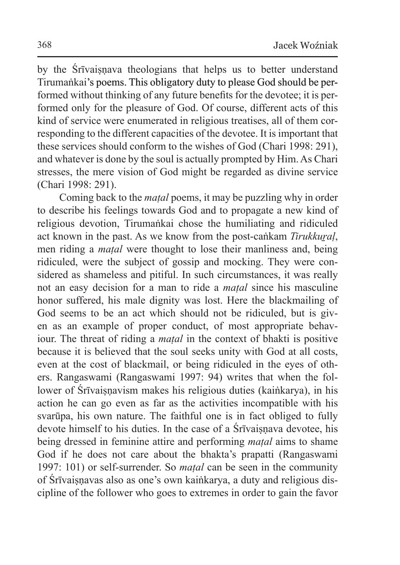by the Srīvaisnava theologians that helps us to better understand Tirumaṅkai's poems. This obligatory duty to please God should be performed without thinking of any future benefits for the devotee; it is performed only for the pleasure of God. Of course, different acts of this kind of service were enumerated in religious treatises, all of them corresponding to the different capacities of the devotee. It is important that these services should conform to the wishes of God (Chari 1998: 291), and whatever is done by the soul is actually prompted by Him. As Chari stresses, the mere vision of God might be regarded as divine service (Chari 1998: 291).

Coming back to the *maṭal* poems, it may be puzzling why in order to describe his feelings towards God and to propagate a new kind of religious devotion, Tirumaṅkai chose the humiliating and ridiculed act known in the past. As we know from the post-caṅkam *Tirukkuṟaḷ*, men riding a *maṭal* were thought to lose their manliness and, being ridiculed, were the subject of gossip and mocking. They were considered as shameless and pitiful. In such circumstances, it was really not an easy decision for a man to ride a *maṭal* since his masculine honor suffered, his male dignity was lost. Here the blackmailing of God seems to be an act which should not be ridiculed, but is given as an example of proper conduct, of most appropriate behaviour. The threat of riding a *maṭal* in the context of bhakti is positive because it is believed that the soul seeks unity with God at all costs, even at the cost of blackmail, or being ridiculed in the eyes of others. Rangaswami (Rangaswami 1997: 94) writes that when the follower of Śrīvaisnavism makes his religious duties (kaiṅkarya), in his action he can go even as far as the activities incompatible with his svarūpa, his own nature. The faithful one is in fact obliged to fully devote himself to his duties. In the case of a Śrīvaiṣṇava devotee, his being dressed in feminine attire and performing *maṭal* aims to shame God if he does not care about the bhakta's prapatti (Rangaswami 1997: 101) or self-surrender. So *maṭal* can be seen in the community of Śrīvaiṣṇavas also as one's own kaiṅkarya, a duty and religious discipline of the follower who goes to extremes in order to gain the favor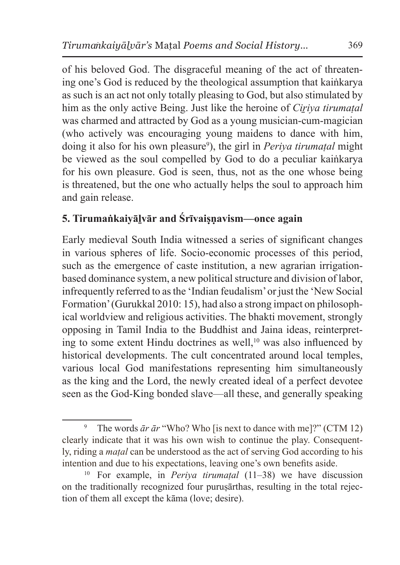of his beloved God. The disgraceful meaning of the act of threatening one's God is reduced by the theological assumption that kaiṅkarya as such is an act not only totally pleasing to God, but also stimulated by him as the only active Being. Just like the heroine of *Ciṟiya tirumaṭal* was charmed and attracted by God as a young musician-cum-magician (who actively was encouraging young maidens to dance with him, doing it also for his own pleasure<sup>9</sup> ), the girl in *Periya tirumaṭal* might be viewed as the soul compelled by God to do a peculiar kaiṅkarya for his own pleasure. God is seen, thus, not as the one whose being is threatened, but the one who actually helps the soul to approach him and gain release.

# **5. Tirumaṅkaiyāḻvār and Śrīvaiṣṇavism—once again**

Early medieval South India witnessed a series of significant changes in various spheres of life. Socio-economic processes of this period, such as the emergence of caste institution, a new agrarian irrigationbased dominance system, a new political structure and division of labor, infrequently referred to asthe 'Indian feudalism' or just the 'New Social Formation' (Gurukkal 2010: 15), had also a strong impact on philosophical worldview and religious activities. The bhakti movement, strongly opposing in Tamil India to the Buddhist and Jaina ideas, reinterpreting to some extent Hindu doctrines as well, $10$  was also influenced by historical developments. The cult concentrated around local temples, various local God manifestations representing him simultaneously as the king and the Lord, the newly created ideal of a perfect devotee seen as the God-King bonded slave—all these, and generally speaking

<sup>&</sup>lt;sup>9</sup> The words  $\bar{a}r \bar{a}r$  "Who? Who [is next to dance with me]?" (CTM 12) clearly indicate that it was his own wish to continue the play. Consequently, riding a *maṭal* can be understood as the act of serving God according to his intention and due to his expectations, leaving one's own benefits aside.

<sup>10</sup> For example, in *Periya tirumaṭal* (11–38) we have discussion on the traditionally recognized four puruṣārthas, resulting in the total rejection of them all except the kāma (love; desire).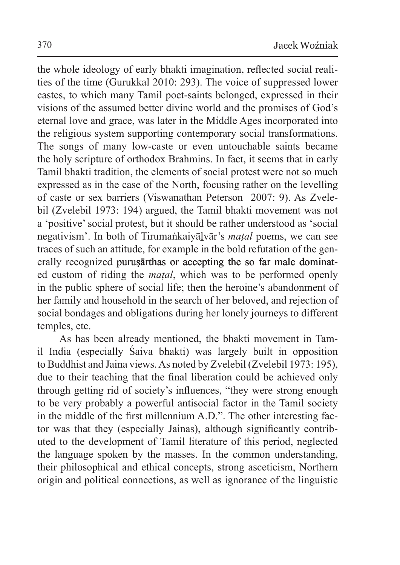the whole ideology of early bhakti imagination, reflected social realities of the time (Gurukkal 2010: 293). The voice of suppressed lower castes, to which many Tamil poet-saints belonged, expressed in their visions of the assumed better divine world and the promises of God's eternal love and grace, was later in the Middle Ages incorporated into the religious system supporting contemporary social transformations. The songs of many low-caste or even untouchable saints became the holy scripture of orthodox Brahmins. In fact, it seems that in early Tamil bhakti tradition, the elements of social protest were not so much expressed as in the case of the North, focusing rather on the levelling of caste or sex barriers (Viswanathan Peterson 2007: 9). As Zvelebil (Zvelebil 1973: 194) argued, the Tamil bhakti movement was not a 'positive' social protest, but it should be rather understood as 'social negativism'. In both of Tirumaṅkaiyāḻvār's *maṭal* poems, we can see traces of such an attitude, for example in the bold refutation of the generally recognized purusārthas or accepting the so far male dominated custom of riding the *maṭal*, which was to be performed openly in the public sphere of social life; then the heroine's abandonment of her family and household in the search of her beloved, and rejection of social bondages and obligations during her lonely journeys to different temples, etc.

As has been already mentioned, the bhakti movement in Tamil India (especially Śaiva bhakti) was largely built in opposition to Buddhist and Jaina views. As noted by Zvelebil (Zvelebil 1973: 195), due to their teaching that the final liberation could be achieved only through getting rid of society's influences, "they were strong enough to be very probably a powerful antisocial factor in the Tamil society in the middle of the first millennium A.D.". The other interesting factor was that they (especially Jainas), although significantly contributed to the development of Tamil literature of this period, neglected the language spoken by the masses. In the common understanding, their philosophical and ethical concepts, strong asceticism, Northern origin and political connections, as well as ignorance of the linguistic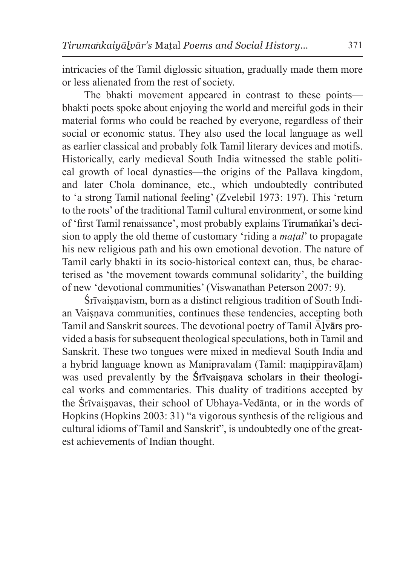intricacies of the Tamil diglossic situation, gradually made them more or less alienated from the rest of society.

The bhakti movement appeared in contrast to these points bhakti poets spoke about enjoying the world and merciful gods in their material forms who could be reached by everyone, regardless of their social or economic status. They also used the local language as well as earlier classical and probably folk Tamil literary devices and motifs. Historically, early medieval South India witnessed the stable political growth of local dynasties—the origins of the Pallava kingdom, and later Chola dominance, etc., which undoubtedly contributed to 'a strong Tamil national feeling' (Zvelebil 1973: 197). This 'return to the roots' of the traditional Tamil cultural environment, or some kind of 'first Tamil renaissance', most probably explains Tirumaṅkai's decision to apply the old theme of customary 'riding a *maṭal*' to propagate his new religious path and his own emotional devotion. The nature of Tamil early bhakti in its socio-historical context can, thus, be characterised as 'the movement towards communal solidarity', the building of new 'devotional communities' (Viswanathan Peterson 2007: 9).

Śrīvaisnavism, born as a distinct religious tradition of South Indian Vaisnava communities, continues these tendencies, accepting both Tamil and Sanskrit sources. The devotional poetry of Tamil Ālvārs provided a basis for subsequent theological speculations, both in Tamil and Sanskrit. These two tongues were mixed in medieval South India and a hybrid language known as Manipravalam (Tamil: maṇippiravāḷam) was used prevalently by the **Śrīvaiṣṇava** scholars in their theological works and commentaries. This duality of traditions accepted by the Śrīvaiṣṇavas, their school of Ubhaya-Vedānta, or in the words of Hopkins (Hopkins 2003: 31) "a vigorous synthesis of the religious and cultural idioms of Tamil and Sanskrit", is undoubtedly one of the greatest achievements of Indian thought.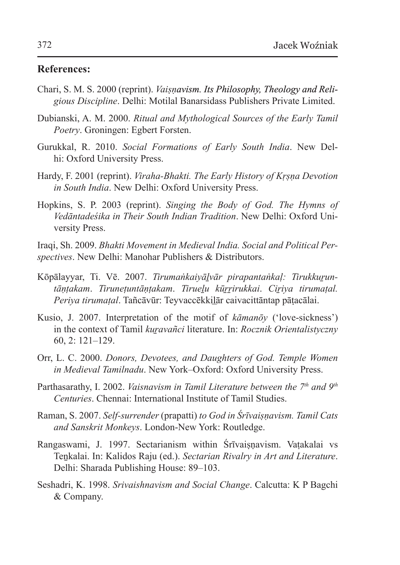#### **References:**

- Chari, S. M. S. 2000 (reprint). *Vaiṣṇavism. Its Philosophy, Theology and Religious Discipline*. Delhi: Motilal Banarsidass Publishers Private Limited.
- Dubianski, A. M. 2000. *Ritual and Mythological Sources of the Early Tamil Poetry*. Groningen: Egbert Forsten.
- Gurukkal, R. 2010. *Social Formations of Early South India*. New Delhi: Oxford University Press.
- Hardy, F. 2001 (reprint). *Viraha-Bhakti. The Early History of Kṛṣṇa Devotion in South India*. New Delhi: Oxford University Press.
- Hopkins, S. P. 2003 (reprint). *Singing the Body of God. The Hymns of Vedāntadeśika in Their South Indian Tradition*. New Delhi: Oxford University Press.

Iraqi, Sh. 2009. *Bhakti Movement in Medieval India. Social and Political Perspectives*. New Delhi: Manohar Publishers & Distributors.

- Kōpālayyar, Ti. Vē. 2007. *Tirumaṅkaiyālvār pirapantaṅkal: Tirukkuruntāṇṭakam*. *Tiruneṭuntāṇṭakam*. *Tirueḻu kūṟṟirukkai*. *Ciṟiya tirumaṭal. Periya tirumaṭal*. Tañcāvūr: Teyvaccēkkil̲ār caivacittāntap pāṭacālai.
- Kusio, J. 2007. Interpretation of the motif of *kāmanōy* ('love-sickness') in the context of Tamil *kuravañci* literature. In: *Rocznik Orientalistyczny* 60, 2: 121–129.
- Orr, L. C. 2000. *Donors, Devotees, and Daughters of God. Temple Women in Medieval Tamilnadu*. New York–Oxford: Oxford University Press.
- Parthasarathy, I. 2002. *Vaisnavism in Tamil Literature between the 7th and 9th Centuries*. Chennai: International Institute of Tamil Studies.
- Raman, S. 2007. *Self-surrender* (prapatti) *to God in Śrīvaiṣṇavism. Tamil Cats and Sanskrit Monkeys*. London-New York: Routledge.
- Rangaswami, J. 1997. Sectarianism within Śrīvaisnavism. Vatakalai vs Teṉkalai. In: Kalidos Raju (ed.). *Sectarian Rivalry in Art and Literature*. Delhi: Sharada Publishing House: 89–103.
- Seshadri, K. 1998. *Srivaishnavism and Social Change*. Calcutta: K P Bagchi & Company.